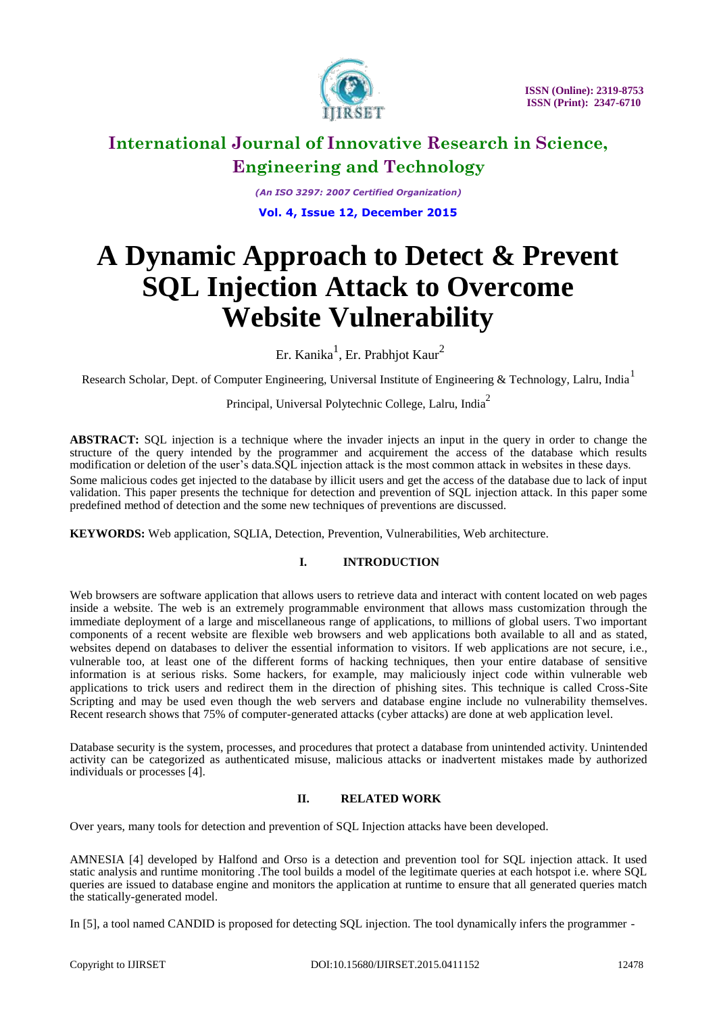

*(An ISO 3297: 2007 Certified Organization)* **Vol. 4, Issue 12, December 2015**

# **A Dynamic Approach to Detect & Prevent SQL Injection Attack to Overcome Website Vulnerability**

Er. Kanika $^1$ , Er. Prabhjot Kaur $^2$ 

Research Scholar, Dept. of Computer Engineering, Universal Institute of Engineering & Technology, Lalru, India<sup>1</sup>

Principal, Universal Polytechnic College, Lalru, India<sup>2</sup>

**ABSTRACT:** SQL injection is a technique where the invader injects an input in the query in order to change the structure of the query intended by the programmer and acquirement the access of the database which results modification or deletion of the user's data.SQL injection attack is the most common attack in websites in these days. Some malicious codes get injected to the database by illicit users and get the access of the database due to lack of input validation. This paper presents the technique for detection and prevention of SQL injection attack. In this paper some predefined method of detection and the some new techniques of preventions are discussed.

**KEYWORDS:** Web application, SQLIA, Detection, Prevention, Vulnerabilities, Web architecture.

### **I. INTRODUCTION**

Web browsers are software application that allows users to retrieve data and interact with content located on web pages inside a website. The web is an extremely programmable environment that allows mass customization through the immediate deployment of a large and miscellaneous range of applications, to millions of global users. Two important components of a recent website are flexible web browsers and web applications both available to all and as stated, websites depend on databases to deliver the essential information to visitors. If web applications are not secure, i.e., vulnerable too, at least one of the different forms of hacking techniques, then your entire database of sensitive information is at serious risks. Some hackers, for example, may maliciously inject code within vulnerable web applications to trick users and redirect them in the direction of phishing sites. This technique is called Cross-Site Scripting and may be used even though the web servers and database engine include no vulnerability themselves. Recent research shows that 75% of computer-generated attacks (cyber attacks) are done at web application level.

Database security is the system, processes, and procedures that protect a database from unintended activity. Unintended activity can be categorized as authenticated misuse, malicious attacks or inadvertent mistakes made by authorized individuals or processes [4].

### **II. RELATED WORK**

Over years, many tools for detection and prevention of SQL Injection attacks have been developed.

AMNESIA [4] developed by Halfond and Orso is a detection and prevention tool for SQL injection attack. It used static analysis and runtime monitoring .The tool builds a model of the legitimate queries at each hotspot i.e. where SQL queries are issued to database engine and monitors the application at runtime to ensure that all generated queries match the statically-generated model.

In [5], a tool named CANDID is proposed for detecting SQL injection. The tool dynamically infers the programmer -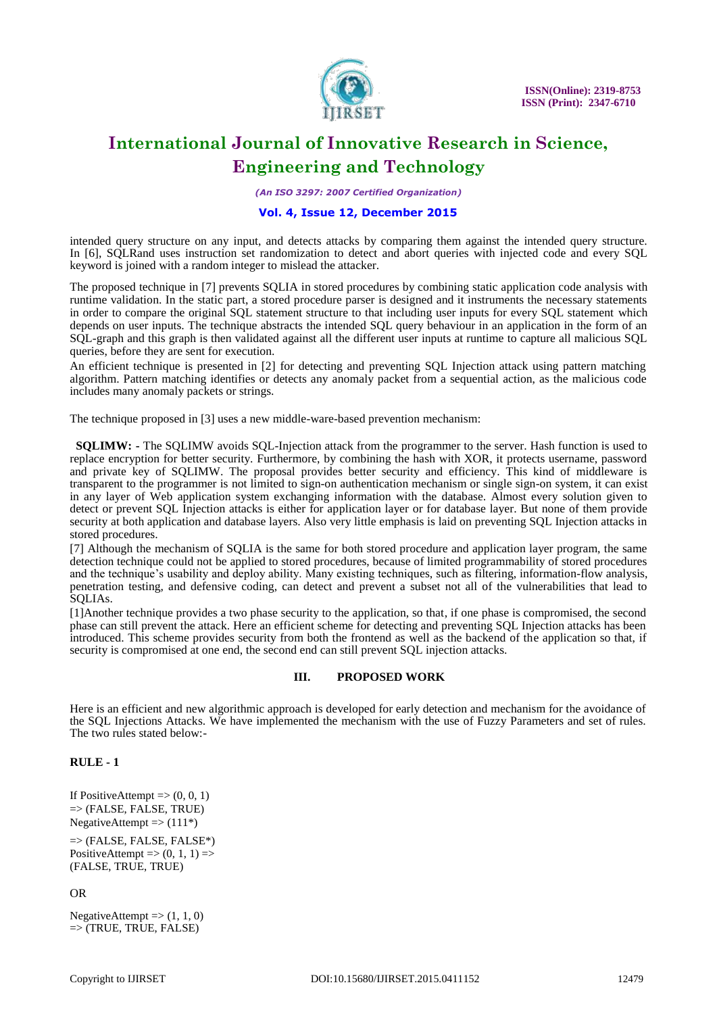

*(An ISO 3297: 2007 Certified Organization)*

#### **Vol. 4, Issue 12, December 2015**

intended query structure on any input, and detects attacks by comparing them against the intended query structure. In [6], SQLRand uses instruction set randomization to detect and abort queries with injected code and every SQL keyword is joined with a random integer to mislead the attacker.

The proposed technique in [7] prevents SQLIA in stored procedures by combining static application code analysis with runtime validation. In the static part, a stored procedure parser is designed and it instruments the necessary statements in order to compare the original SQL statement structure to that including user inputs for every SQL statement which depends on user inputs. The technique abstracts the intended SQL query behaviour in an application in the form of an SQL-graph and this graph is then validated against all the different user inputs at runtime to capture all malicious SQL queries, before they are sent for execution.

An efficient technique is presented in [2] for detecting and preventing SQL Injection attack using pattern matching algorithm. Pattern matching identifies or detects any anomaly packet from a sequential action, as the malicious code includes many anomaly packets or strings.

The technique proposed in [3] uses a new middle-ware-based prevention mechanism:

**SQLIMW:** - The SQLIMW avoids SQL-Injection attack from the programmer to the server. Hash function is used to replace encryption for better security. Furthermore, by combining the hash with XOR, it protects username, password and private key of SQLIMW. The proposal provides better security and efficiency. This kind of middleware is transparent to the programmer is not limited to sign-on authentication mechanism or single sign-on system, it can exist in any layer of Web application system exchanging information with the database. Almost every solution given to detect or prevent SQL Injection attacks is either for application layer or for database layer. But none of them provide security at both application and database layers. Also very little emphasis is laid on preventing SQL Injection attacks in stored procedures.

[7] Although the mechanism of SQLIA is the same for both stored procedure and application layer program, the same detection technique could not be applied to stored procedures, because of limited programmability of stored procedures and the technique's usability and deploy ability. Many existing techniques, such as filtering, information-flow analysis, penetration testing, and defensive coding, can detect and prevent a subset not all of the vulnerabilities that lead to SQLIAs.

[1]Another technique provides a two phase security to the application, so that, if one phase is compromised, the second phase can still prevent the attack. Here an efficient scheme for detecting and preventing SQL Injection attacks has been introduced. This scheme provides security from both the frontend as well as the backend of the application so that, if security is compromised at one end, the second end can still prevent SQL injection attacks.

### **III. PROPOSED WORK**

Here is an efficient and new algorithmic approach is developed for early detection and mechanism for the avoidance of the SQL Injections Attacks. We have implemented the mechanism with the use of Fuzzy Parameters and set of rules. The two rules stated below:-

### **RULE - 1**

If PositiveAttempt  $\Rightarrow$  (0, 0, 1)  $\Rightarrow$  (FALSE, FALSE, TRUE) NegativeAttempt  $\Rightarrow$  (111\*)

 $\Rightarrow$  (FALSE, FALSE, FALSE\*) PositiveAttempt  $\Rightarrow$  (0, 1, 1)  $\Rightarrow$ (FALSE, TRUE, TRUE)

OR

NegativeAttempt  $\Rightarrow$  (1, 1, 0)  $\Rightarrow$  (TRUE, TRUE, FALSE)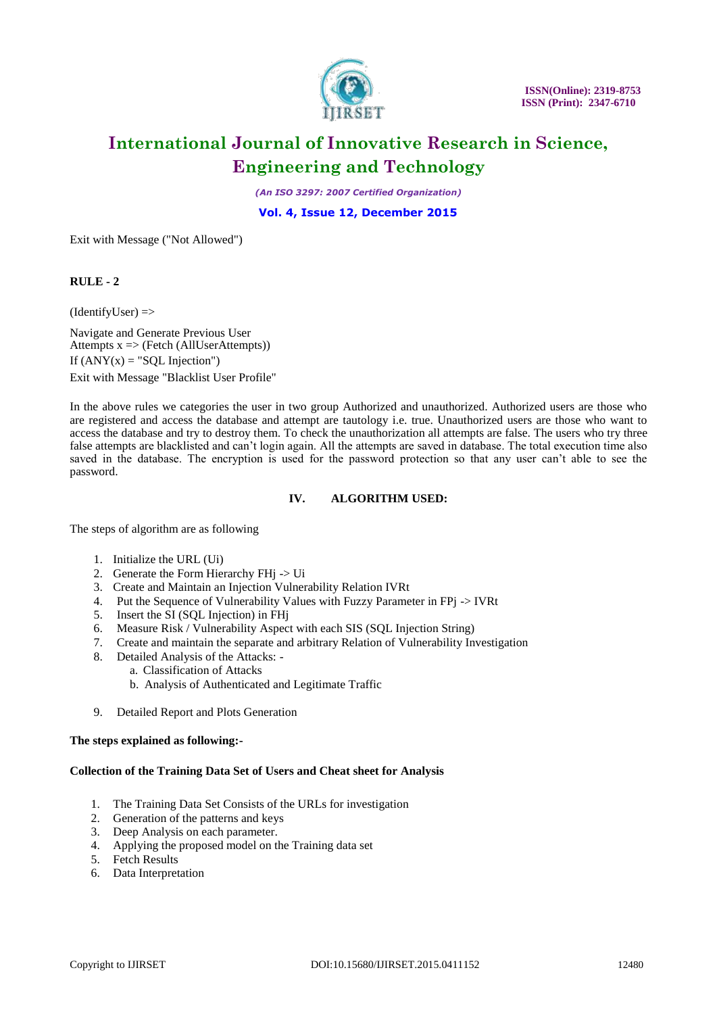

*(An ISO 3297: 2007 Certified Organization)*

**Vol. 4, Issue 12, December 2015**

Exit with Message ("Not Allowed")

### **RULE - 2**

 $(IdentifyUser)$  =>

Navigate and Generate Previous User Attempts  $x \Rightarrow$  (Fetch (AllUserAttempts)) If  $(ANY(x) = "SQL Injection")$ Exit with Message "Blacklist User Profile"

In the above rules we categories the user in two group Authorized and unauthorized. Authorized users are those who are registered and access the database and attempt are tautology i.e. true. Unauthorized users are those who want to access the database and try to destroy them. To check the unauthorization all attempts are false. The users who try three false attempts are blacklisted and can't login again. All the attempts are saved in database. The total execution time also saved in the database. The encryption is used for the password protection so that any user can't able to see the password.

### **IV. ALGORITHM USED:**

The steps of algorithm are as following

- 1. Initialize the URL (Ui)
- 2. Generate the Form Hierarchy FHj -> Ui
- 3. Create and Maintain an Injection Vulnerability Relation IVRt
- 4. Put the Sequence of Vulnerability Values with Fuzzy Parameter in FP $i > IVRt$
- 5. Insert the SI (SQL Injection) in FHj
- 6. Measure Risk / Vulnerability Aspect with each SIS (SQL Injection String)
- 7. Create and maintain the separate and arbitrary Relation of Vulnerability Investigation
- 8. Detailed Analysis of the Attacks:
	- a. Classification of Attacks
		- b. Analysis of Authenticated and Legitimate Traffic
- 9. Detailed Report and Plots Generation

### **The steps explained as following:-**

### **Collection of the Training Data Set of Users and Cheat sheet for Analysis**

- 1. The Training Data Set Consists of the URLs for investigation
- 2. Generation of the patterns and keys
- 3. Deep Analysis on each parameter.
- 4. Applying the proposed model on the Training data set
- 5. Fetch Results
- 6. Data Interpretation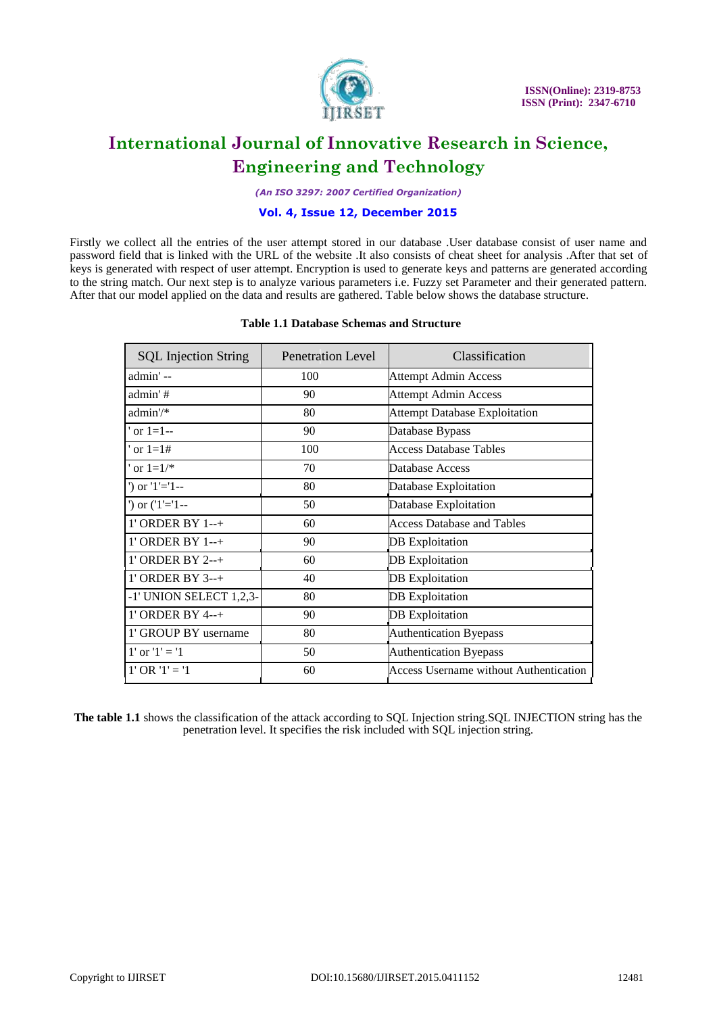

*(An ISO 3297: 2007 Certified Organization)*

#### **Vol. 4, Issue 12, December 2015**

Firstly we collect all the entries of the user attempt stored in our database .User database consist of user name and password field that is linked with the URL of the website .It also consists of cheat sheet for analysis .After that set of keys is generated with respect of user attempt. Encryption is used to generate keys and patterns are generated according to the string match. Our next step is to analyze various parameters i.e. Fuzzy set Parameter and their generated pattern. After that our model applied on the data and results are gathered. Table below shows the database structure.

### **Table 1.1 Database Schemas and Structure**

| <b>SQL</b> Injection String | <b>Penetration Level</b> | Classification                                |
|-----------------------------|--------------------------|-----------------------------------------------|
| admin' --                   | 100                      | <b>Attempt Admin Access</b>                   |
| admin'#                     | 90                       | <b>Attempt Admin Access</b>                   |
| admin'/*                    | 80                       | <b>Attempt Database Exploitation</b>          |
| or $1 = 1 -$                | 90                       | Database Bypass                               |
| or $1 = 1#$                 | 100                      | <b>Access Database Tables</b>                 |
| or $1=1/*$                  | 70                       | Database Access                               |
| $')$ or $'1'=1-$            | 80                       | Database Exploitation                         |
| $')$ or $('1'=1--$          | 50                       | Database Exploitation                         |
| 1' ORDER BY 1--+            | 60                       | Access Database and Tables                    |
| 1' ORDER BY 1--+            | 90                       | DB Exploitation                               |
| 1' ORDER BY 2--+            | 60                       | <b>DB</b> Exploitation                        |
| 1' ORDER BY 3--+            | 40                       | <b>DB</b> Exploitation                        |
| -1' UNION SELECT 1,2,3-     | 80                       | <b>DB</b> Exploitation                        |
| 1' ORDER BY 4--+            | 90                       | <b>DB</b> Exploitation                        |
| 1' GROUP BY username        | 80                       | <b>Authentication Byepass</b>                 |
| 1' or $'1' = '1$            | 50                       | <b>Authentication Byepass</b>                 |
| $1' OR '1' = '1$            | 60                       | <b>Access Username without Authentication</b> |

**The table 1.1** shows the classification of the attack according to SQL Injection string.SQL INJECTION string has the penetration level. It specifies the risk included with SQL injection string.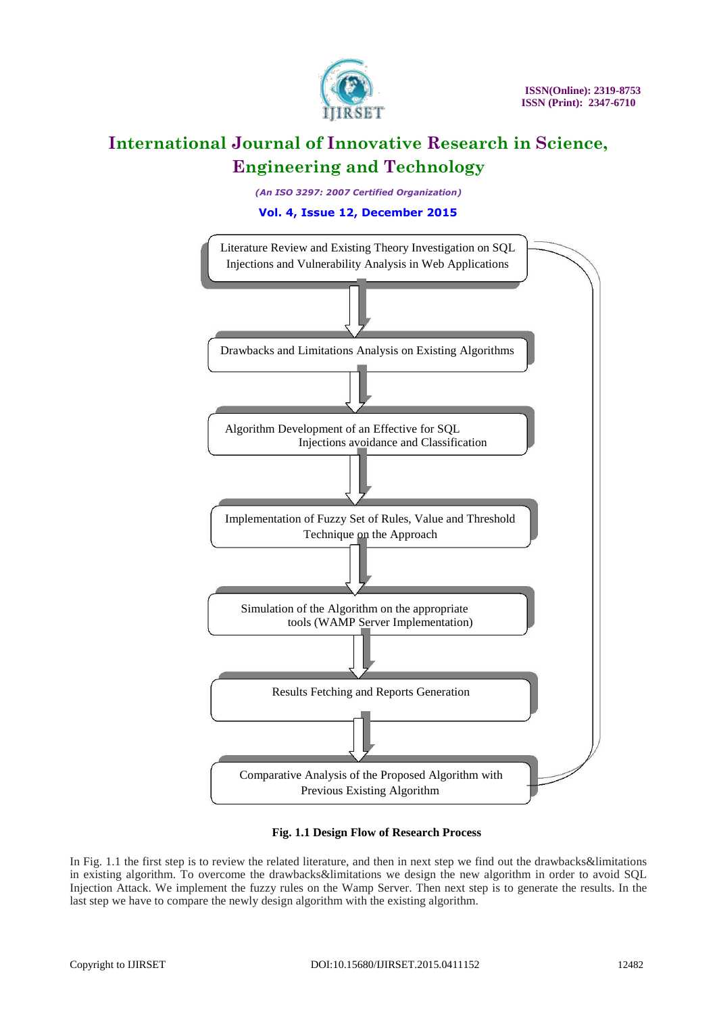

*(An ISO 3297: 2007 Certified Organization)*

**Vol. 4, Issue 12, December 2015**



### **Fig. 1.1 Design Flow of Research Process**

In Fig. 1.1 the first step is to review the related literature, and then in next step we find out the drawbacks&limitations in existing algorithm. To overcome the drawbacks&limitations we design the new algorithm in order to avoid SQL Injection Attack. We implement the fuzzy rules on the Wamp Server. Then next step is to generate the results. In the last step we have to compare the newly design algorithm with the existing algorithm.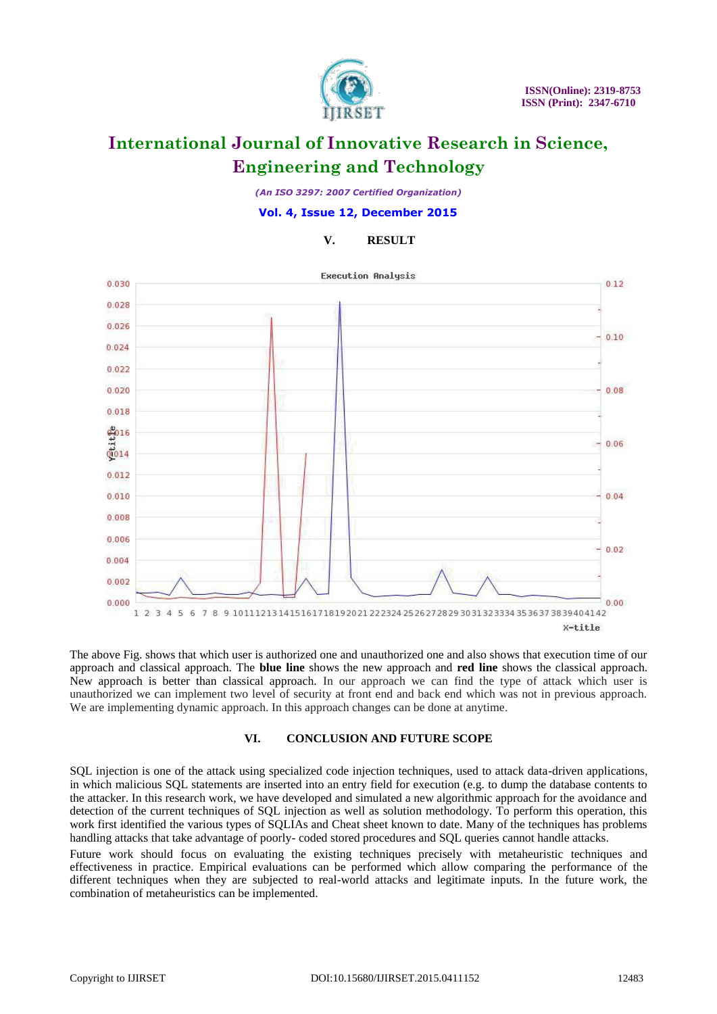

*(An ISO 3297: 2007 Certified Organization)*

**Vol. 4, Issue 12, December 2015**

### **V. RESULT**



The above Fig. shows that which user is authorized one and unauthorized one and also shows that execution time of our approach and classical approach. The **blue line** shows the new approach and **red line** shows the classical approach. New approach is better than classical approach. In our approach we can find the type of attack which user is unauthorized we can implement two level of security at front end and back end which was not in previous approach. We are implementing dynamic approach. In this approach changes can be done at anytime.

### **VI. CONCLUSION AND FUTURE SCOPE**

SQL injection is one of the attack using specialized code injection techniques, used to attack data-driven applications, in which malicious SQL statements are inserted into an entry field for execution (e.g. to dump the database contents to the attacker. In this research work, we have developed and simulated a new algorithmic approach for the avoidance and detection of the current techniques of SQL injection as well as solution methodology. To perform this operation, this work first identified the various types of SQLIAs and Cheat sheet known to date. Many of the techniques has problems handling attacks that take advantage of poorly- coded stored procedures and SQL queries cannot handle attacks.

Future work should focus on evaluating the existing techniques precisely with metaheuristic techniques and effectiveness in practice. Empirical evaluations can be performed which allow comparing the performance of the different techniques when they are subjected to real-world attacks and legitimate inputs. In the future work, the combination of metaheuristics can be implemented.